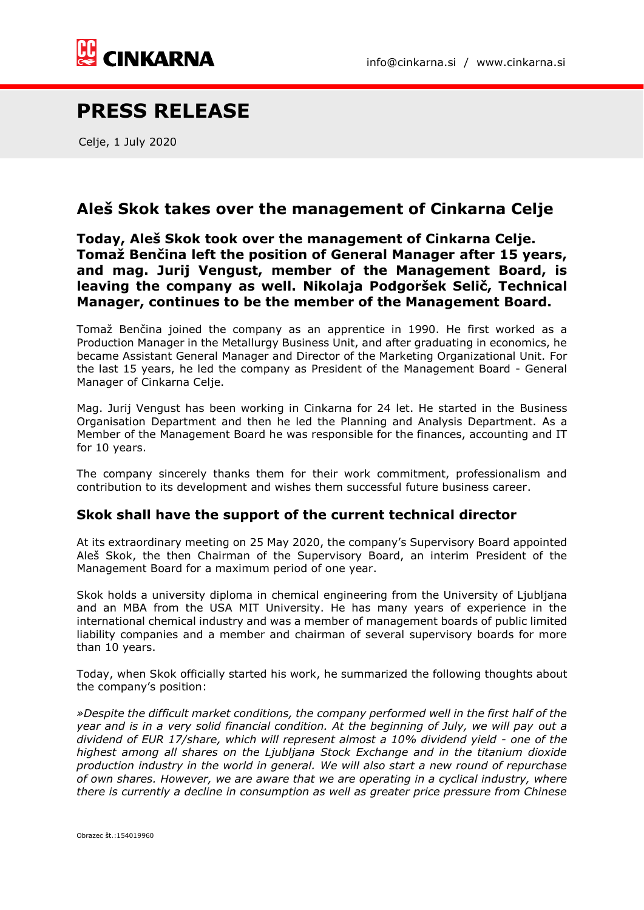

## **PRESS RELEASE**

Celje, 1 July 2020

## **Aleš Skok takes over the management of Cinkarna Celje**

**Today, Aleš Skok took over the management of Cinkarna Celje. Tomaž Benčina left the position of General Manager after 15 years, and mag. Jurij Vengust, member of the Management Board, is leaving the company as well. Nikolaja Podgoršek Selič, Technical Manager, continues to be the member of the Management Board.** 

Tomaž Benčina joined the company as an apprentice in 1990. He first worked as a Production Manager in the Metallurgy Business Unit, and after graduating in economics, he became Assistant General Manager and Director of the Marketing Organizational Unit. For the last 15 years, he led the company as President of the Management Board - General Manager of Cinkarna Celje.

Mag. Jurij Vengust has been working in Cinkarna for 24 let. He started in the Business Organisation Department and then he led the Planning and Analysis Department. As a Member of the Management Board he was responsible for the finances, accounting and IT for 10 years.

The company sincerely thanks them for their work commitment, professionalism and contribution to its development and wishes them successful future business career.

## **Skok shall have the support of the current technical director**

At its extraordinary meeting on 25 May 2020, the company's Supervisory Board appointed Aleš Skok, the then Chairman of the Supervisory Board, an interim President of the Management Board for a maximum period of one year.

Skok holds a university diploma in chemical engineering from the University of Ljubljana and an MBA from the USA MIT University. He has many years of experience in the international chemical industry and was a member of management boards of public limited liability companies and a member and chairman of several supervisory boards for more than 10 years.

Today, when Skok officially started his work, he summarized the following thoughts about the company's position:

*»Despite the difficult market conditions, the company performed well in the first half of the year and is in a very solid financial condition. At the beginning of July, we will pay out a dividend of EUR 17/share, which will represent almost a 10% dividend yield - one of the highest among all shares on the Ljubljana Stock Exchange and in the titanium dioxide production industry in the world in general. We will also start a new round of repurchase of own shares. However, we are aware that we are operating in a cyclical industry, where there is currently a decline in consumption as well as greater price pressure from Chinese*